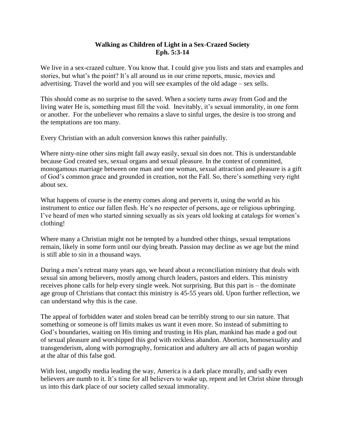#### **Walking as Children of Light in a Sex-Crazed Society Eph. 5:3-14**

We live in a sex-crazed culture. You know that. I could give you lists and stats and examples and stories, but what's the point? It's all around us in our crime reports, music, movies and advertising. Travel the world and you will see examples of the old adage – sex sells.

This should come as no surprise to the saved. When a society turns away from God and the living water He is, something must fill the void. Inevitably, it's sexual immorality, in one form or another. For the unbeliever who remains a slave to sinful urges, the desire is too strong and the temptations are too many.

Every Christian with an adult conversion knows this rather painfully.

Where ninty-nine other sins might fall away easily, sexual sin does not. This is understandable because God created sex, sexual organs and sexual pleasure. In the context of committed, monogamous marriage between one man and one woman, sexual attraction and pleasure is a gift of God's common grace and grounded in creation, not the Fall. So, there's something very right about sex.

What happens of course is the enemy comes along and perverts it, using the world as his instrument to entice our fallen flesh. He's no respecter of persons, age or religious upbringing. I've heard of men who started sinning sexually as six years old looking at catalogs for women's clothing!

Where many a Christian might not be tempted by a hundred other things, sexual temptations remain, likely in some form until our dying breath. Passion may decline as we age but the mind is still able to sin in a thousand ways.

During a men's retreat many years ago, we heard about a reconciliation ministry that deals with sexual sin among believers, mostly among church leaders, pastors and elders. This ministry receives phone calls for help every single week. Not surprising. But this part is – the dominate age group of Christians that contact this ministry is 45-55 years old. Upon further reflection, we can understand why this is the case.

The appeal of forbidden water and stolen bread can be terribly strong to our sin nature. That something or someone is off limits makes us want it even more. So instead of submitting to God's boundaries, waiting on His timing and trusting in His plan, mankind has made a god out of sexual pleasure and worshipped this god with reckless abandon. Abortion, homosexuality and transgenderism, along with pornography, fornication and adultery are all acts of pagan worship at the altar of this false god.

With lost, ungodly media leading the way, America is a dark place morally, and sadly even believers are numb to it. It's time for all believers to wake up, repent and let Christ shine through us into this dark place of our society called sexual immorality.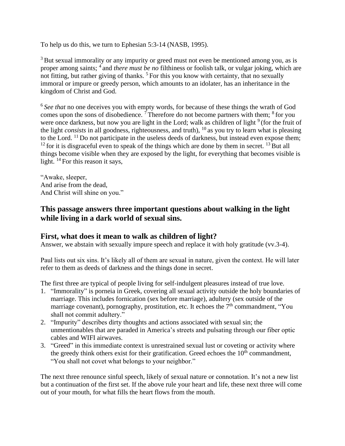To help us do this, we turn to Ephesian 5:3-14 (NASB, 1995).

<sup>3</sup> But sexual immorality or any impurity or greed must not even be mentioned among you, as is proper among saints; <sup>4</sup> and *there must be no* filthiness or foolish talk, or vulgar joking, which are not fitting, but rather giving of thanks.  $5$  For this you know with certainty, that no sexually immoral or impure or greedy person, which amounts to an idolater, has an inheritance in the kingdom of Christ and God.

<sup>6</sup> See that no one deceives you with empty words, for because of these things the wrath of God comes upon the sons of disobedience.<sup>7</sup> Therefore do not become partners with them;  $8$  for you were once darkness, but now you are light in the Lord; walk as children of light <sup>9</sup> (for the fruit of the light *consists* in all goodness, righteousness, and truth),  $^{10}$  as you try to learn what is pleasing to the Lord. <sup>11</sup> Do not participate in the useless deeds of darkness, but instead even expose them;  $12$  for it is disgraceful even to speak of the things which are done by them in secret.  $13$  But all things become visible when they are exposed by the light, for everything that becomes visible is light. <sup>14</sup> For this reason it says,

"Awake, sleeper, And arise from the dead, And Christ will shine on you."

## **This passage answers three important questions about walking in the light while living in a dark world of sexual sins.**

#### **First, what does it mean to walk as children of light?**

Answer, we abstain with sexually impure speech and replace it with holy gratitude (vv.3-4).

Paul lists out six sins. It's likely all of them are sexual in nature, given the context. He will later refer to them as deeds of darkness and the things done in secret.

The first three are typical of people living for self-indulgent pleasures instead of true love.

- 1. "Immorality" is porneia in Greek, covering all sexual activity outside the holy boundaries of marriage. This includes fornication (sex before marriage), adultery (sex outside of the marriage covenant), pornography, prostitution, etc. It echoes the  $7<sup>th</sup>$  commandment, "You shall not commit adultery."
- 2. "Impurity" describes dirty thoughts and actions associated with sexual sin; the unmentionables that are paraded in America's streets and pulsating through our fiber optic cables and WIFI airwaves.
- 3. "Greed" in this immediate context is unrestrained sexual lust or coveting or activity where the greedy think others exist for their gratification. Greed echoes the  $10<sup>th</sup>$  commandment, "You shall not covet what belongs to your neighbor."

The next three renounce sinful speech, likely of sexual nature or connotation. It's not a new list but a continuation of the first set. If the above rule your heart and life, these next three will come out of your mouth, for what fills the heart flows from the mouth.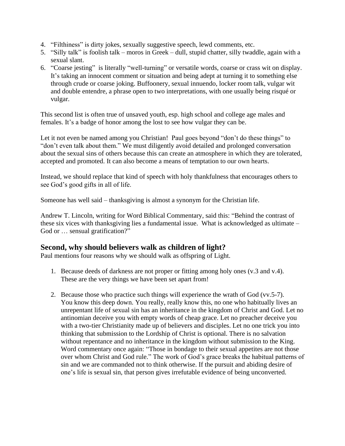- 4. "Filthiness" is dirty jokes, sexually suggestive speech, lewd comments, etc.
- 5. "Silly talk" is foolish talk moros in Greek dull, stupid chatter, silly twaddle, again with a sexual slant.
- 6. "Coarse jesting" is literally "well-turning" or versatile words, coarse or crass wit on display. It's taking an innocent comment or situation and being adept at turning it to something else through crude or coarse joking. Buffoonery, sexual innuendo, locker room talk, vulgar wit and double entendre, a phrase open to two interpretations, with one usually being risqué or vulgar.

This second list is often true of unsaved youth, esp. high school and college age males and females. It's a badge of honor among the lost to see how vulgar they can be.

Let it not even be named among you Christian! Paul goes beyond "don't do these things" to "don't even talk about them." We must diligently avoid detailed and prolonged conversation about the sexual sins of others because this can create an atmosphere in which they are tolerated, accepted and promoted. It can also become a means of temptation to our own hearts.

Instead, we should replace that kind of speech with holy thankfulness that encourages others to see God's good gifts in all of life.

Someone has well said – thanksgiving is almost a synonym for the Christian life.

Andrew T. Lincoln, writing for Word Biblical Commentary, said this: "Behind the contrast of these six vices with thanksgiving lies a fundamental issue. What is acknowledged as ultimate – God or  $\dots$  sensual gratification?"

# **Second, why should believers walk as children of light?**

Paul mentions four reasons why we should walk as offspring of Light.

- 1. Because deeds of darkness are not proper or fitting among holy ones (v.3 and v.4). These are the very things we have been set apart from!
- 2. Because those who practice such things will experience the wrath of God (vv.5-7). You know this deep down. You really, really know this, no one who habitually lives an unrepentant life of sexual sin has an inheritance in the kingdom of Christ and God. Let no antinomian deceive you with empty words of cheap grace. Let no preacher deceive you with a two-tier Christianity made up of believers and disciples. Let no one trick you into thinking that submission to the Lordship of Christ is optional. There is no salvation without repentance and no inheritance in the kingdom without submission to the King. Word commentary once again: "Those in bondage to their sexual appetites are not those over whom Christ and God rule." The work of God's grace breaks the habitual patterns of sin and we are commanded not to think otherwise. If the pursuit and abiding desire of one's life is sexual sin, that person gives irrefutable evidence of being unconverted.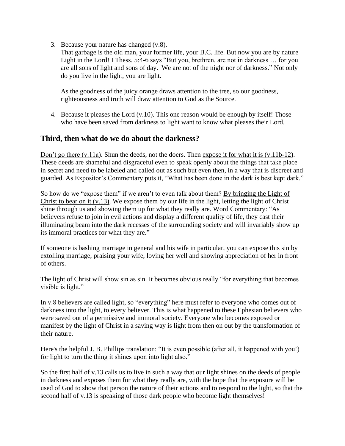3. Because your nature has changed (v.8).

That garbage is the old man, your former life, your B.C. life. But now you are by nature Light in the Lord! I Thess. 5:4-6 says "But you, brethren, are not in darkness … for you are all sons of light and sons of day. We are not of the night nor of darkness." Not only do you live in the light, you are light.

As the goodness of the juicy orange draws attention to the tree, so our goodness, righteousness and truth will draw attention to God as the Source.

4. Because it pleases the Lord (v.10). This one reason would be enough by itself! Those who have been saved from darkness to light want to know what pleases their Lord.

### **Third, then what do we do about the darkness?**

Don't go there  $(v.11a)$ . Shun the deeds, not the doers. Then expose it for what it is  $(v.11b-12)$ . These deeds are shameful and disgraceful even to speak openly about the things that take place in secret and need to be labeled and called out as such but even then, in a way that is discreet and guarded. As Expositor's Commentary puts it, "What has been done in the dark is best kept dark."

So how do we "expose them" if we aren't to even talk about them? By bringing the Light of Christ to bear on it (v.13). We expose them by our life in the light, letting the light of Christ shine through us and showing them up for what they really are. Word Commentary: "As believers refuse to join in evil actions and display a different quality of life, they cast their illuminating beam into the dark recesses of the surrounding society and will invariably show up its immoral practices for what they are."

If someone is bashing marriage in general and his wife in particular, you can expose this sin by extolling marriage, praising your wife, loving her well and showing appreciation of her in front of others.

The light of Christ will show sin as sin. It becomes obvious really "for everything that becomes visible is light."

In v.8 believers are called light, so "everything" here must refer to everyone who comes out of darkness into the light, to every believer. This is what happened to these Ephesian believers who were saved out of a permissive and immoral society. Everyone who becomes exposed or manifest by the light of Christ in a saving way is light from then on out by the transformation of their nature.

Here's the helpful J. B. Phillips translation: "It is even possible (after all, it happened with you!) for light to turn the thing it shines upon into light also."

So the first half of v.13 calls us to live in such a way that our light shines on the deeds of people in darkness and exposes them for what they really are, with the hope that the exposure will be used of God to show that person the nature of their actions and to respond to the light, so that the second half of v.13 is speaking of those dark people who become light themselves!